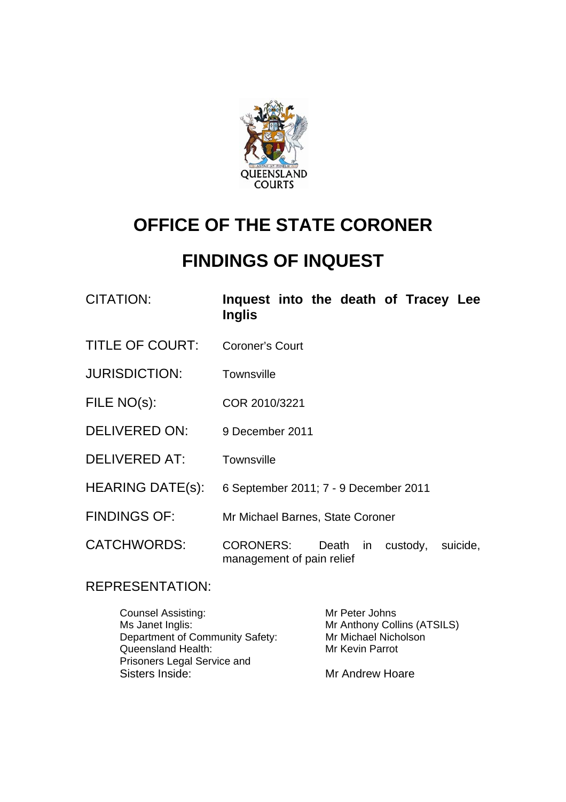

# **OFFICE OF THE STATE CORONER**

# **FINDINGS OF INQUEST**

| CITATION:               | Inquest into the death of Tracey Lee<br><b>Inglis</b>                                |
|-------------------------|--------------------------------------------------------------------------------------|
| <b>TITLE OF COURT:</b>  | <b>Coroner's Court</b>                                                               |
| <b>JURISDICTION:</b>    | <b>Townsville</b>                                                                    |
| FILE NO(s):             | COR 2010/3221                                                                        |
| <b>DELIVERED ON:</b>    | 9 December 2011                                                                      |
| <b>DELIVERED AT:</b>    | <b>Townsville</b>                                                                    |
| <b>HEARING DATE(s):</b> | 6 September 2011; 7 - 9 December 2011                                                |
| <b>FINDINGS OF:</b>     | Mr Michael Barnes, State Coroner                                                     |
| <b>CATCHWORDS:</b>      | <b>CORONERS:</b><br>Death<br>suicide,<br>custody,<br>in<br>management of pain relief |

### REPRESENTATION:

| <b>Counsel Assisting:</b>       | Mr Peter Johns              |
|---------------------------------|-----------------------------|
| Ms Janet Inglis:                | Mr Anthony Collins (ATSILS) |
| Department of Community Safety: | Mr Michael Nicholson        |
| <b>Queensland Health:</b>       | Mr Kevin Parrot             |
| Prisoners Legal Service and     |                             |
| Sisters Inside:                 | Mr Andrew Hoare             |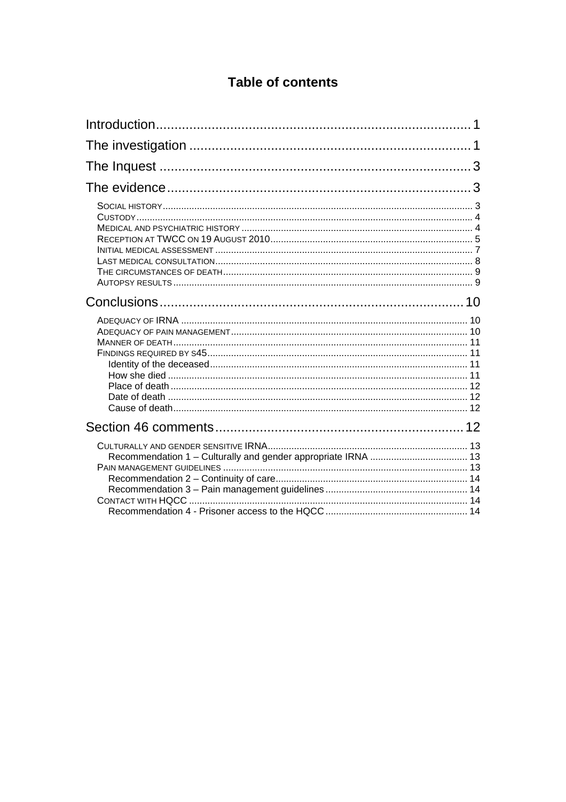### **Table of contents**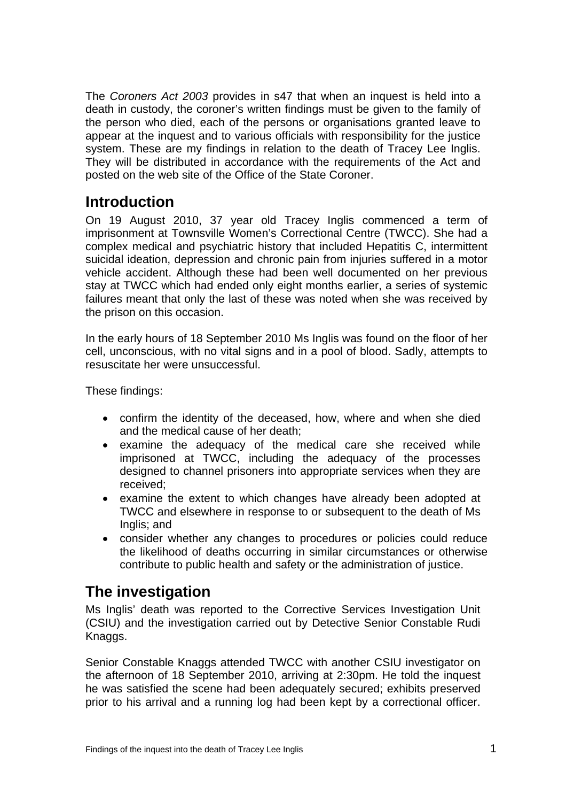<span id="page-2-0"></span>The *Coroners Act 2003* provides in s47 that when an inquest is held into a death in custody, the coroner's written findings must be given to the family of the person who died, each of the persons or organisations granted leave to appear at the inquest and to various officials with responsibility for the justice system. These are my findings in relation to the death of Tracey Lee Inglis. They will be distributed in accordance with the requirements of the Act and posted on the web site of the Office of the State Coroner.

### **Introduction**

On 19 August 2010, 37 year old Tracey Inglis commenced a term of imprisonment at Townsville Women's Correctional Centre (TWCC). She had a complex medical and psychiatric history that included Hepatitis C, intermittent suicidal ideation, depression and chronic pain from injuries suffered in a motor vehicle accident. Although these had been well documented on her previous stay at TWCC which had ended only eight months earlier, a series of systemic failures meant that only the last of these was noted when she was received by the prison on this occasion.

In the early hours of 18 September 2010 Ms Inglis was found on the floor of her cell, unconscious, with no vital signs and in a pool of blood. Sadly, attempts to resuscitate her were unsuccessful.

These findings:

- confirm the identity of the deceased, how, where and when she died and the medical cause of her death;
- examine the adequacy of the medical care she received while imprisoned at TWCC, including the adequacy of the processes designed to channel prisoners into appropriate services when they are received;
- examine the extent to which changes have already been adopted at TWCC and elsewhere in response to or subsequent to the death of Ms Inglis; and
- consider whether any changes to procedures or policies could reduce the likelihood of deaths occurring in similar circumstances or otherwise contribute to public health and safety or the administration of justice.

## **The investigation**

Ms Inglis' death was reported to the Corrective Services Investigation Unit (CSIU) and the investigation carried out by Detective Senior Constable Rudi Knaggs.

Senior Constable Knaggs attended TWCC with another CSIU investigator on the afternoon of 18 September 2010, arriving at 2:30pm. He told the inquest he was satisfied the scene had been adequately secured; exhibits preserved prior to his arrival and a running log had been kept by a correctional officer.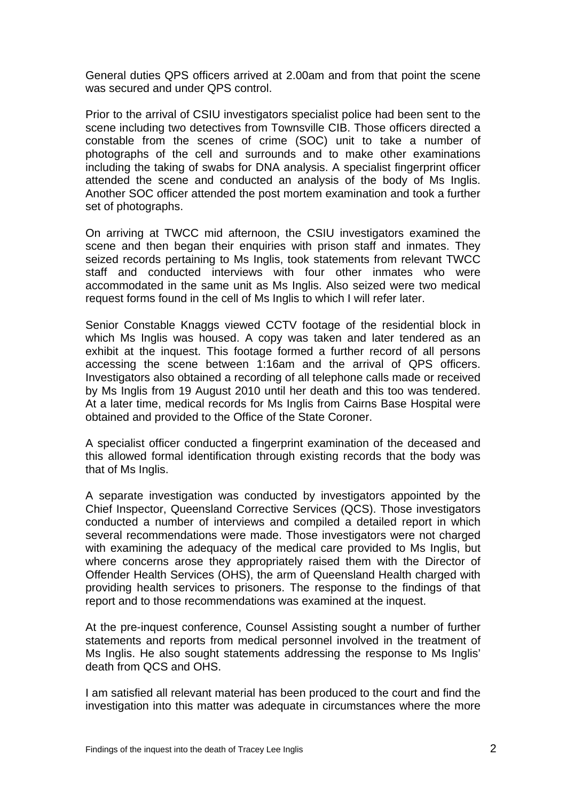General duties QPS officers arrived at 2.00am and from that point the scene was secured and under QPS control.

Prior to the arrival of CSIU investigators specialist police had been sent to the scene including two detectives from Townsville CIB. Those officers directed a constable from the scenes of crime (SOC) unit to take a number of photographs of the cell and surrounds and to make other examinations including the taking of swabs for DNA analysis. A specialist fingerprint officer attended the scene and conducted an analysis of the body of Ms Inglis. Another SOC officer attended the post mortem examination and took a further set of photographs.

On arriving at TWCC mid afternoon, the CSIU investigators examined the scene and then began their enquiries with prison staff and inmates. They seized records pertaining to Ms Inglis, took statements from relevant TWCC staff and conducted interviews with four other inmates who were accommodated in the same unit as Ms Inglis. Also seized were two medical request forms found in the cell of Ms Inglis to which I will refer later.

Senior Constable Knaggs viewed CCTV footage of the residential block in which Ms Inglis was housed. A copy was taken and later tendered as an exhibit at the inquest. This footage formed a further record of all persons accessing the scene between 1:16am and the arrival of QPS officers. Investigators also obtained a recording of all telephone calls made or received by Ms Inglis from 19 August 2010 until her death and this too was tendered. At a later time, medical records for Ms Inglis from Cairns Base Hospital were obtained and provided to the Office of the State Coroner.

A specialist officer conducted a fingerprint examination of the deceased and this allowed formal identification through existing records that the body was that of Ms Inglis.

A separate investigation was conducted by investigators appointed by the Chief Inspector, Queensland Corrective Services (QCS). Those investigators conducted a number of interviews and compiled a detailed report in which several recommendations were made. Those investigators were not charged with examining the adequacy of the medical care provided to Ms Inglis, but where concerns arose they appropriately raised them with the Director of Offender Health Services (OHS), the arm of Queensland Health charged with providing health services to prisoners. The response to the findings of that report and to those recommendations was examined at the inquest.

At the pre-inquest conference, Counsel Assisting sought a number of further statements and reports from medical personnel involved in the treatment of Ms Inglis. He also sought statements addressing the response to Ms Inglis' death from QCS and OHS.

I am satisfied all relevant material has been produced to the court and find the investigation into this matter was adequate in circumstances where the more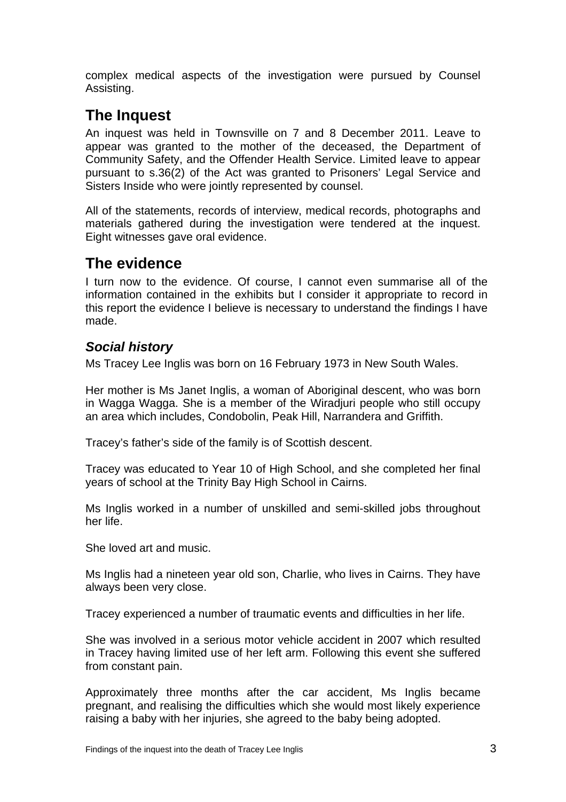<span id="page-4-0"></span>complex medical aspects of the investigation were pursued by Counsel Assisting.

### **The Inquest**

An inquest was held in Townsville on 7 and 8 December 2011. Leave to appear was granted to the mother of the deceased, the Department of Community Safety, and the Offender Health Service. Limited leave to appear pursuant to s.36(2) of the Act was granted to Prisoners' Legal Service and Sisters Inside who were jointly represented by counsel.

All of the statements, records of interview, medical records, photographs and materials gathered during the investigation were tendered at the inquest. Eight witnesses gave oral evidence.

# **The evidence**

I turn now to the evidence. Of course, I cannot even summarise all of the information contained in the exhibits but I consider it appropriate to record in this report the evidence I believe is necessary to understand the findings I have made.

### *Social history*

Ms Tracey Lee Inglis was born on 16 February 1973 in New South Wales.

Her mother is Ms Janet Inglis, a woman of Aboriginal descent, who was born in Wagga Wagga. She is a member of the Wiradjuri people who still occupy an area which includes, [Condobolin](http://en.wikipedia.org/wiki/Condobolin,_New_South_Wales), [Peak Hill](http://en.wikipedia.org/wiki/Peak_Hill,_New_South_Wales), [Narrandera](http://en.wikipedia.org/wiki/Narrandera,_New_South_Wales) and [Griffith.](http://en.wikipedia.org/wiki/Griffith,_New_South_Wales)

Tracey's father's side of the family is of Scottish descent.

Tracey was educated to Year 10 of High School, and she completed her final years of school at the Trinity Bay High School in Cairns.

Ms Inglis worked in a number of unskilled and semi-skilled jobs throughout her life.

She loved art and music.

Ms Inglis had a nineteen year old son, Charlie, who lives in Cairns. They have always been very close.

Tracey experienced a number of traumatic events and difficulties in her life.

She was involved in a serious motor vehicle accident in 2007 which resulted in Tracey having limited use of her left arm. Following this event she suffered from constant pain.

Approximately three months after the car accident, Ms Inglis became pregnant, and realising the difficulties which she would most likely experience raising a baby with her injuries, she agreed to the baby being adopted.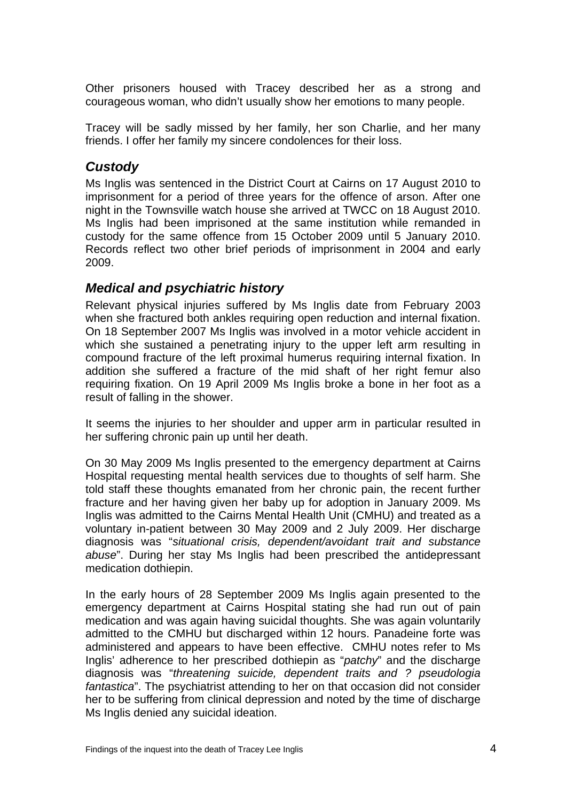<span id="page-5-0"></span>Other prisoners housed with Tracey described her as a strong and courageous woman, who didn't usually show her emotions to many people.

Tracey will be sadly missed by her family, her son Charlie, and her many friends. I offer her family my sincere condolences for their loss.

#### *Custody*

Ms Inglis was sentenced in the District Court at Cairns on 17 August 2010 to imprisonment for a period of three years for the offence of arson. After one night in the Townsville watch house she arrived at TWCC on 18 August 2010. Ms Inglis had been imprisoned at the same institution while remanded in custody for the same offence from 15 October 2009 until 5 January 2010. Records reflect two other brief periods of imprisonment in 2004 and early 2009.

#### *Medical and psychiatric history*

Relevant physical injuries suffered by Ms Inglis date from February 2003 when she fractured both ankles requiring open reduction and internal fixation. On 18 September 2007 Ms Inglis was involved in a motor vehicle accident in which she sustained a penetrating injury to the upper left arm resulting in compound fracture of the left proximal humerus requiring internal fixation. In addition she suffered a fracture of the mid shaft of her right femur also requiring fixation. On 19 April 2009 Ms Inglis broke a bone in her foot as a result of falling in the shower.

It seems the injuries to her shoulder and upper arm in particular resulted in her suffering chronic pain up until her death.

On 30 May 2009 Ms Inglis presented to the emergency department at Cairns Hospital requesting mental health services due to thoughts of self harm. She told staff these thoughts emanated from her chronic pain, the recent further fracture and her having given her baby up for adoption in January 2009. Ms Inglis was admitted to the Cairns Mental Health Unit (CMHU) and treated as a voluntary in-patient between 30 May 2009 and 2 July 2009. Her discharge diagnosis was "*situational crisis, dependent/avoidant trait and substance abuse*". During her stay Ms Inglis had been prescribed the antidepressant medication dothiepin.

In the early hours of 28 September 2009 Ms Inglis again presented to the emergency department at Cairns Hospital stating she had run out of pain medication and was again having suicidal thoughts. She was again voluntarily admitted to the CMHU but discharged within 12 hours. Panadeine forte was administered and appears to have been effective. CMHU notes refer to Ms Inglis' adherence to her prescribed dothiepin as "*patchy*" and the discharge diagnosis was "*threatening suicide, dependent traits and ? pseudologia fantastica*". The psychiatrist attending to her on that occasion did not consider her to be suffering from clinical depression and noted by the time of discharge Ms Inglis denied any suicidal ideation.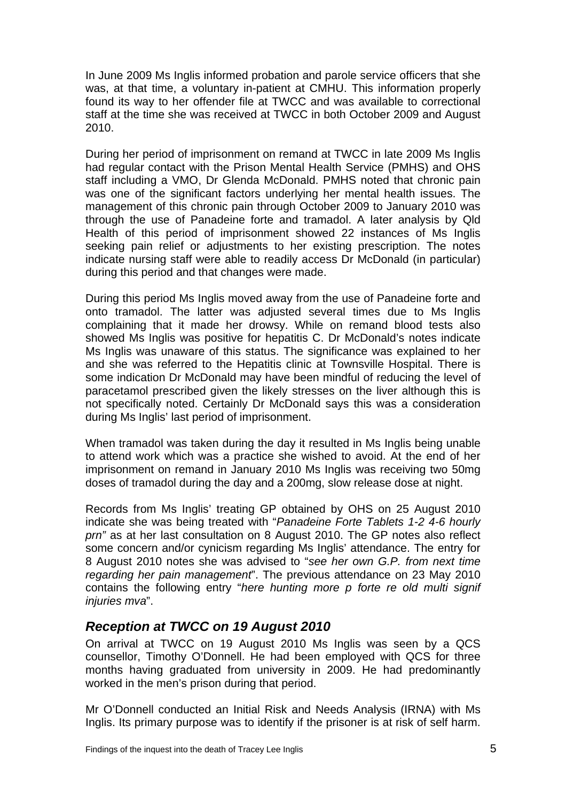<span id="page-6-0"></span>In June 2009 Ms Inglis informed probation and parole service officers that she was, at that time, a voluntary in-patient at CMHU. This information properly found its way to her offender file at TWCC and was available to correctional staff at the time she was received at TWCC in both October 2009 and August 2010.

During her period of imprisonment on remand at TWCC in late 2009 Ms Inglis had regular contact with the Prison Mental Health Service (PMHS) and OHS staff including a VMO, Dr Glenda McDonald. PMHS noted that chronic pain was one of the significant factors underlying her mental health issues. The management of this chronic pain through October 2009 to January 2010 was through the use of Panadeine forte and tramadol. A later analysis by Qld Health of this period of imprisonment showed 22 instances of Ms Inglis seeking pain relief or adjustments to her existing prescription. The notes indicate nursing staff were able to readily access Dr McDonald (in particular) during this period and that changes were made.

During this period Ms Inglis moved away from the use of Panadeine forte and onto tramadol. The latter was adjusted several times due to Ms Inglis complaining that it made her drowsy. While on remand blood tests also showed Ms Inglis was positive for hepatitis C. Dr McDonald's notes indicate Ms Inglis was unaware of this status. The significance was explained to her and she was referred to the Hepatitis clinic at Townsville Hospital. There is some indication Dr McDonald may have been mindful of reducing the level of paracetamol prescribed given the likely stresses on the liver although this is not specifically noted. Certainly Dr McDonald says this was a consideration during Ms Inglis' last period of imprisonment.

When tramadol was taken during the day it resulted in Ms Inglis being unable to attend work which was a practice she wished to avoid. At the end of her imprisonment on remand in January 2010 Ms Inglis was receiving two 50mg doses of tramadol during the day and a 200mg, slow release dose at night.

Records from Ms Inglis' treating GP obtained by OHS on 25 August 2010 indicate she was being treated with "*Panadeine Forte Tablets 1-2 4-6 hourly prn"* as at her last consultation on 8 August 2010. The GP notes also reflect some concern and/or cynicism regarding Ms Inglis' attendance. The entry for 8 August 2010 notes she was advised to "*see her own G.P. from next time regarding her pain management*". The previous attendance on 23 May 2010 contains the following entry "*here hunting more p forte re old multi signif injuries mva*".

#### *Reception at TWCC on 19 August 2010*

On arrival at TWCC on 19 August 2010 Ms Inglis was seen by a QCS counsellor, Timothy O'Donnell. He had been employed with QCS for three months having graduated from university in 2009. He had predominantly worked in the men's prison during that period.

Mr O'Donnell conducted an Initial Risk and Needs Analysis (IRNA) with Ms Inglis. Its primary purpose was to identify if the prisoner is at risk of self harm.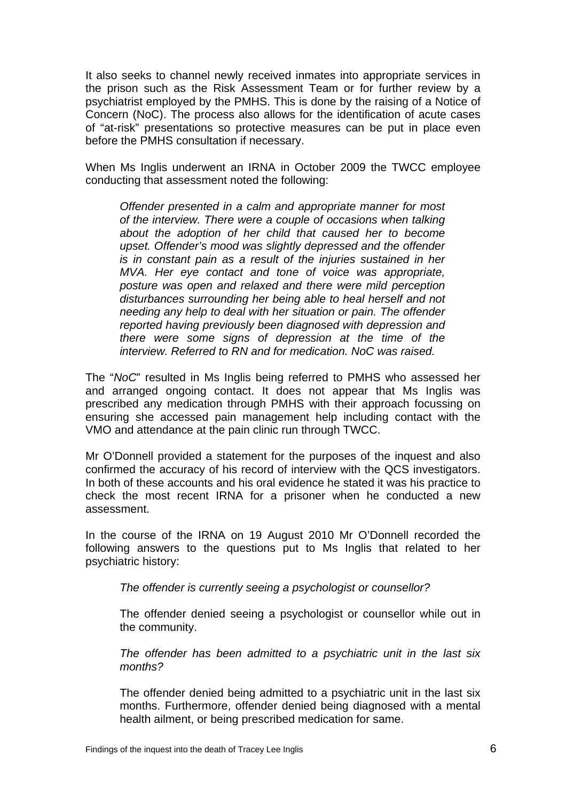It also seeks to channel newly received inmates into appropriate services in the prison such as the Risk Assessment Team or for further review by a psychiatrist employed by the PMHS. This is done by the raising of a Notice of Concern (NoC). The process also allows for the identification of acute cases of "at-risk" presentations so protective measures can be put in place even before the PMHS consultation if necessary.

When Ms Inglis underwent an IRNA in October 2009 the TWCC employee conducting that assessment noted the following:

*Offender presented in a calm and appropriate manner for most of the interview. There were a couple of occasions when talking about the adoption of her child that caused her to become upset. Offender's mood was slightly depressed and the offender is in constant pain as a result of the injuries sustained in her MVA. Her eye contact and tone of voice was appropriate, posture was open and relaxed and there were mild perception disturbances surrounding her being able to heal herself and not needing any help to deal with her situation or pain. The offender reported having previously been diagnosed with depression and there were some signs of depression at the time of the interview. Referred to RN and for medication. NoC was raised.* 

The "*NoC*" resulted in Ms Inglis being referred to PMHS who assessed her and arranged ongoing contact. It does not appear that Ms Inglis was prescribed any medication through PMHS with their approach focussing on ensuring she accessed pain management help including contact with the VMO and attendance at the pain clinic run through TWCC.

Mr O'Donnell provided a statement for the purposes of the inquest and also confirmed the accuracy of his record of interview with the QCS investigators. In both of these accounts and his oral evidence he stated it was his practice to check the most recent IRNA for a prisoner when he conducted a new assessment.

In the course of the IRNA on 19 August 2010 Mr O'Donnell recorded the following answers to the questions put to Ms Inglis that related to her psychiatric history:

*The offender is currently seeing a psychologist or counsellor?* 

The offender denied seeing a psychologist or counsellor while out in the community.

*The offender has been admitted to a psychiatric unit in the last six months?* 

The offender denied being admitted to a psychiatric unit in the last six months. Furthermore, offender denied being diagnosed with a mental health ailment, or being prescribed medication for same.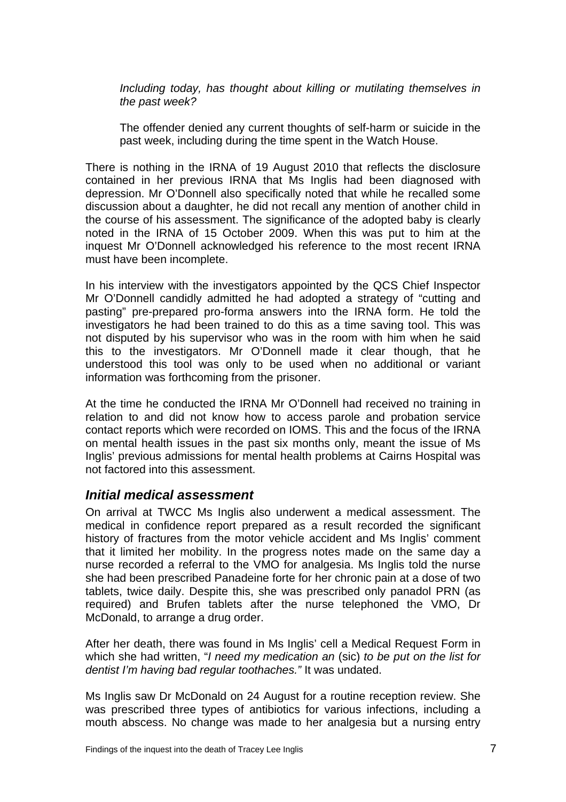<span id="page-8-0"></span>*Including today, has thought about killing or mutilating themselves in the past week?* 

The offender denied any current thoughts of self-harm or suicide in the past week, including during the time spent in the Watch House.

There is nothing in the IRNA of 19 August 2010 that reflects the disclosure contained in her previous IRNA that Ms Inglis had been diagnosed with depression. Mr O'Donnell also specifically noted that while he recalled some discussion about a daughter, he did not recall any mention of another child in the course of his assessment. The significance of the adopted baby is clearly noted in the IRNA of 15 October 2009. When this was put to him at the inquest Mr O'Donnell acknowledged his reference to the most recent IRNA must have been incomplete.

In his interview with the investigators appointed by the QCS Chief Inspector Mr O'Donnell candidly admitted he had adopted a strategy of "cutting and pasting" pre-prepared pro-forma answers into the IRNA form. He told the investigators he had been trained to do this as a time saving tool. This was not disputed by his supervisor who was in the room with him when he said this to the investigators. Mr O'Donnell made it clear though, that he understood this tool was only to be used when no additional or variant information was forthcoming from the prisoner.

At the time he conducted the IRNA Mr O'Donnell had received no training in relation to and did not know how to access parole and probation service contact reports which were recorded on IOMS. This and the focus of the IRNA on mental health issues in the past six months only, meant the issue of Ms Inglis' previous admissions for mental health problems at Cairns Hospital was not factored into this assessment.

#### *Initial medical assessment*

On arrival at TWCC Ms Inglis also underwent a medical assessment. The medical in confidence report prepared as a result recorded the significant history of fractures from the motor vehicle accident and Ms Inglis' comment that it limited her mobility. In the progress notes made on the same day a nurse recorded a referral to the VMO for analgesia. Ms Inglis told the nurse she had been prescribed Panadeine forte for her chronic pain at a dose of two tablets, twice daily. Despite this, she was prescribed only panadol PRN (as required) and Brufen tablets after the nurse telephoned the VMO, Dr McDonald, to arrange a drug order.

After her death, there was found in Ms Inglis' cell a Medical Request Form in which she had written, "*I need my medication an* (sic) *to be put on the list for dentist I'm having bad regular toothaches."* It was undated.

Ms Inglis saw Dr McDonald on 24 August for a routine reception review. She was prescribed three types of antibiotics for various infections, including a mouth abscess. No change was made to her analgesia but a nursing entry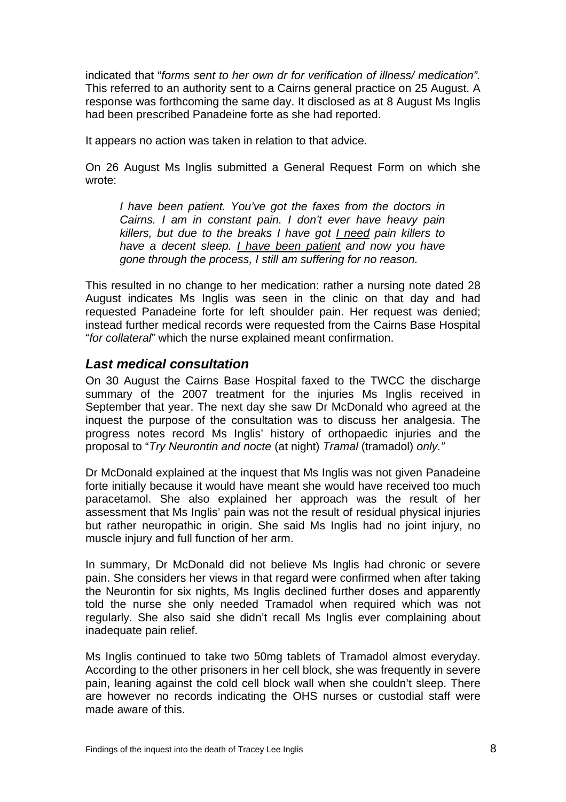<span id="page-9-0"></span>indicated that "*forms sent to her own dr for verification of illness/ medication".*  This referred to an authority sent to a Cairns general practice on 25 August. A response was forthcoming the same day. It disclosed as at 8 August Ms Inglis had been prescribed Panadeine forte as she had reported.

It appears no action was taken in relation to that advice.

On 26 August Ms Inglis submitted a General Request Form on which she wrote:

*I have been patient. You've got the faxes from the doctors in Cairns. I am in constant pain. I don't ever have heavy pain killers, but due to the breaks I have got I need pain killers to have a decent sleep. I have been patient and now you have gone through the process, I still am suffering for no reason.* 

This resulted in no change to her medication: rather a nursing note dated 28 August indicates Ms Inglis was seen in the clinic on that day and had requested Panadeine forte for left shoulder pain. Her request was denied; instead further medical records were requested from the Cairns Base Hospital "*for collateral*" which the nurse explained meant confirmation.

#### *Last medical consultation*

On 30 August the Cairns Base Hospital faxed to the TWCC the discharge summary of the 2007 treatment for the injuries Ms Inglis received in September that year. The next day she saw Dr McDonald who agreed at the inquest the purpose of the consultation was to discuss her analgesia. The progress notes record Ms Inglis' history of orthopaedic injuries and the proposal to "*Try Neurontin and nocte* (at night) *Tramal* (tramadol) *only."* 

Dr McDonald explained at the inquest that Ms Inglis was not given Panadeine forte initially because it would have meant she would have received too much paracetamol. She also explained her approach was the result of her assessment that Ms Inglis' pain was not the result of residual physical injuries but rather neuropathic in origin. She said Ms Inglis had no joint injury, no muscle injury and full function of her arm.

In summary, Dr McDonald did not believe Ms Inglis had chronic or severe pain. She considers her views in that regard were confirmed when after taking the Neurontin for six nights, Ms Inglis declined further doses and apparently told the nurse she only needed Tramadol when required which was not regularly. She also said she didn't recall Ms Inglis ever complaining about inadequate pain relief.

Ms Inglis continued to take two 50mg tablets of Tramadol almost everyday. According to the other prisoners in her cell block, she was frequently in severe pain, leaning against the cold cell block wall when she couldn't sleep. There are however no records indicating the OHS nurses or custodial staff were made aware of this.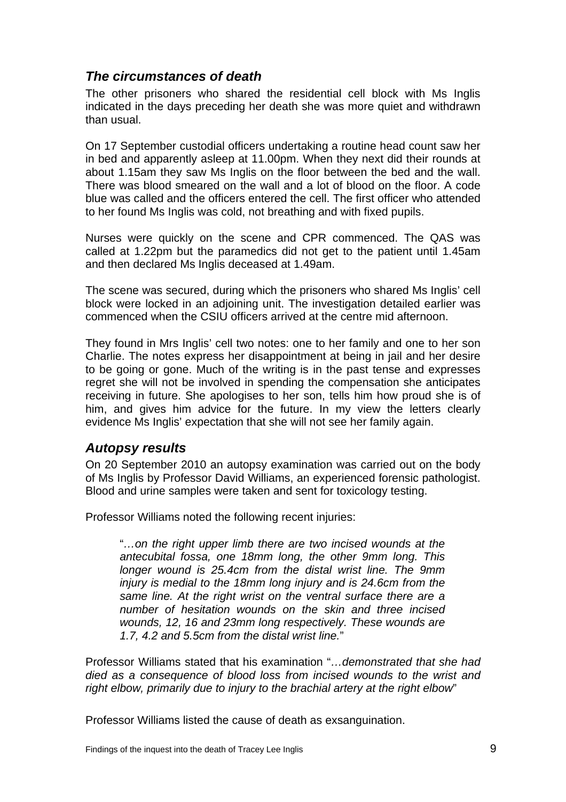#### <span id="page-10-0"></span>*The circumstances of death*

The other prisoners who shared the residential cell block with Ms Inglis indicated in the days preceding her death she was more quiet and withdrawn than usual.

On 17 September custodial officers undertaking a routine head count saw her in bed and apparently asleep at 11.00pm. When they next did their rounds at about 1.15am they saw Ms Inglis on the floor between the bed and the wall. There was blood smeared on the wall and a lot of blood on the floor. A code blue was called and the officers entered the cell. The first officer who attended to her found Ms Inglis was cold, not breathing and with fixed pupils.

Nurses were quickly on the scene and CPR commenced. The QAS was called at 1.22pm but the paramedics did not get to the patient until 1.45am and then declared Ms Inglis deceased at 1.49am.

The scene was secured, during which the prisoners who shared Ms Inglis' cell block were locked in an adjoining unit. The investigation detailed earlier was commenced when the CSIU officers arrived at the centre mid afternoon.

They found in Mrs Inglis' cell two notes: one to her family and one to her son Charlie. The notes express her disappointment at being in jail and her desire to be going or gone. Much of the writing is in the past tense and expresses regret she will not be involved in spending the compensation she anticipates receiving in future. She apologises to her son, tells him how proud she is of him, and gives him advice for the future. In my view the letters clearly evidence Ms Inglis' expectation that she will not see her family again.

#### *Autopsy results*

On 20 September 2010 an autopsy examination was carried out on the body of Ms Inglis by Professor David Williams, an experienced forensic pathologist. Blood and urine samples were taken and sent for toxicology testing.

Professor Williams noted the following recent injuries:

"*…on the right upper limb there are two incised wounds at the antecubital fossa, one 18mm long, the other 9mm long. This longer wound is 25.4cm from the distal wrist line. The 9mm injury is medial to the 18mm long injury and is 24.6cm from the same line. At the right wrist on the ventral surface there are a number of hesitation wounds on the skin and three incised wounds, 12, 16 and 23mm long respectively. These wounds are 1.7, 4.2 and 5.5cm from the distal wrist line.*"

Professor Williams stated that his examination "*…demonstrated that she had died as a consequence of blood loss from incised wounds to the wrist and right elbow, primarily due to injury to the brachial artery at the right elbow*"

Professor Williams listed the cause of death as exsanguination.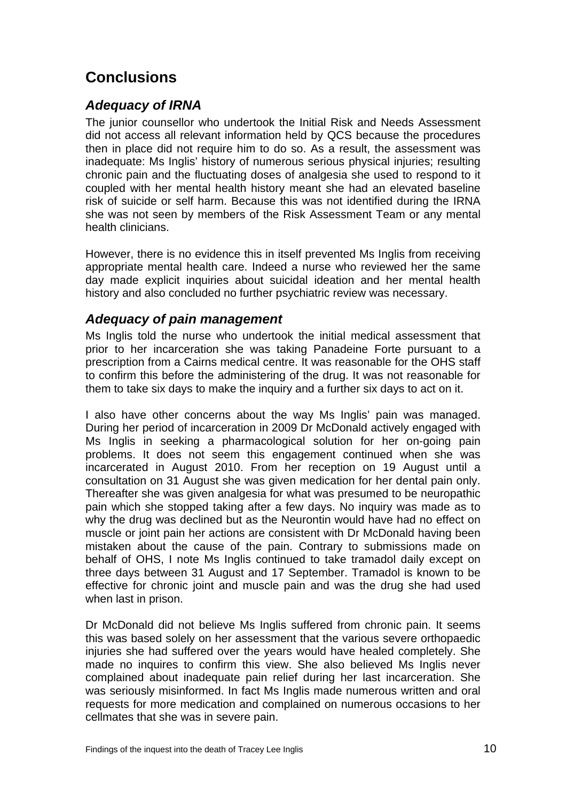## <span id="page-11-0"></span>**Conclusions**

#### *Adequacy of IRNA*

The junior counsellor who undertook the Initial Risk and Needs Assessment did not access all relevant information held by QCS because the procedures then in place did not require him to do so. As a result, the assessment was inadequate: Ms Inglis' history of numerous serious physical injuries; resulting chronic pain and the fluctuating doses of analgesia she used to respond to it coupled with her mental health history meant she had an elevated baseline risk of suicide or self harm. Because this was not identified during the IRNA she was not seen by members of the Risk Assessment Team or any mental health clinicians.

However, there is no evidence this in itself prevented Ms Inglis from receiving appropriate mental health care. Indeed a nurse who reviewed her the same day made explicit inquiries about suicidal ideation and her mental health history and also concluded no further psychiatric review was necessary.

#### *Adequacy of pain management*

Ms Inglis told the nurse who undertook the initial medical assessment that prior to her incarceration she was taking Panadeine Forte pursuant to a prescription from a Cairns medical centre. It was reasonable for the OHS staff to confirm this before the administering of the drug. It was not reasonable for them to take six days to make the inquiry and a further six days to act on it.

I also have other concerns about the way Ms Inglis' pain was managed. During her period of incarceration in 2009 Dr McDonald actively engaged with Ms Inglis in seeking a pharmacological solution for her on-going pain problems. It does not seem this engagement continued when she was incarcerated in August 2010. From her reception on 19 August until a consultation on 31 August she was given medication for her dental pain only. Thereafter she was given analgesia for what was presumed to be neuropathic pain which she stopped taking after a few days. No inquiry was made as to why the drug was declined but as the Neurontin would have had no effect on muscle or joint pain her actions are consistent with Dr McDonald having been mistaken about the cause of the pain. Contrary to submissions made on behalf of OHS, I note Ms Inglis continued to take tramadol daily except on three days between 31 August and 17 September. Tramadol is known to be effective for chronic joint and muscle pain and was the drug she had used when last in prison.

Dr McDonald did not believe Ms Inglis suffered from chronic pain. It seems this was based solely on her assessment that the various severe orthopaedic injuries she had suffered over the years would have healed completely. She made no inquires to confirm this view. She also believed Ms Inglis never complained about inadequate pain relief during her last incarceration. She was seriously misinformed. In fact Ms Inglis made numerous written and oral requests for more medication and complained on numerous occasions to her cellmates that she was in severe pain.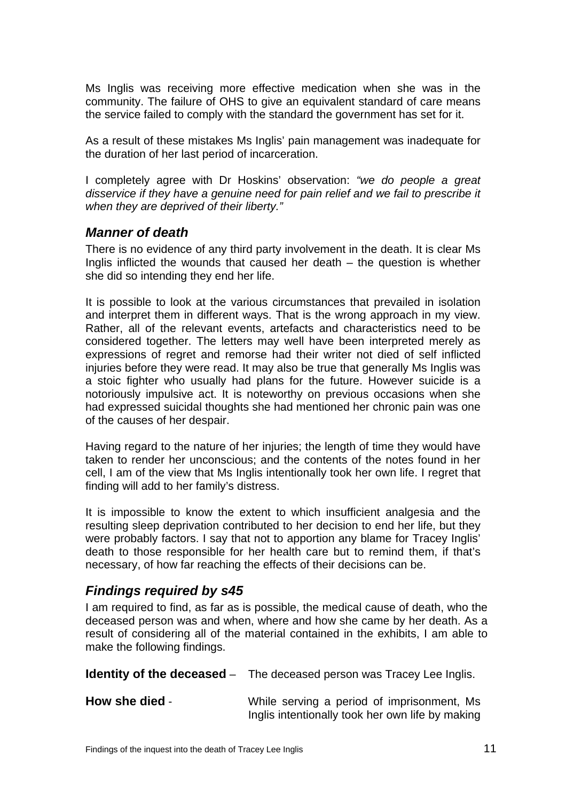<span id="page-12-0"></span>Ms Inglis was receiving more effective medication when she was in the community. The failure of OHS to give an equivalent standard of care means the service failed to comply with the standard the government has set for it.

As a result of these mistakes Ms Inglis' pain management was inadequate for the duration of her last period of incarceration.

I completely agree with Dr Hoskins' observation: *"we do people a great disservice if they have a genuine need for pain relief and we fail to prescribe it when they are deprived of their liberty."*

#### *Manner of death*

There is no evidence of any third party involvement in the death. It is clear Ms Inglis inflicted the wounds that caused her death – the question is whether she did so intending they end her life.

It is possible to look at the various circumstances that prevailed in isolation and interpret them in different ways. That is the wrong approach in my view. Rather, all of the relevant events, artefacts and characteristics need to be considered together. The letters may well have been interpreted merely as expressions of regret and remorse had their writer not died of self inflicted injuries before they were read. It may also be true that generally Ms Inglis was a stoic fighter who usually had plans for the future. However suicide is a notoriously impulsive act. It is noteworthy on previous occasions when she had expressed suicidal thoughts she had mentioned her chronic pain was one of the causes of her despair.

Having regard to the nature of her injuries; the length of time they would have taken to render her unconscious; and the contents of the notes found in her cell, I am of the view that Ms Inglis intentionally took her own life. I regret that finding will add to her family's distress.

It is impossible to know the extent to which insufficient analgesia and the resulting sleep deprivation contributed to her decision to end her life, but they were probably factors. I say that not to apportion any blame for Tracey Inglis' death to those responsible for her health care but to remind them, if that's necessary, of how far reaching the effects of their decisions can be.

#### *Findings required by s45*

I am required to find, as far as is possible, the medical cause of death, who the deceased person was and when, where and how she came by her death. As a result of considering all of the material contained in the exhibits, I am able to make the following findings.

|                | <b>Identity of the deceased</b> – The deceased person was Tracey Lee Inglis.                   |
|----------------|------------------------------------------------------------------------------------------------|
| How she died - | While serving a period of imprisonment, Ms<br>Inglis intentionally took her own life by making |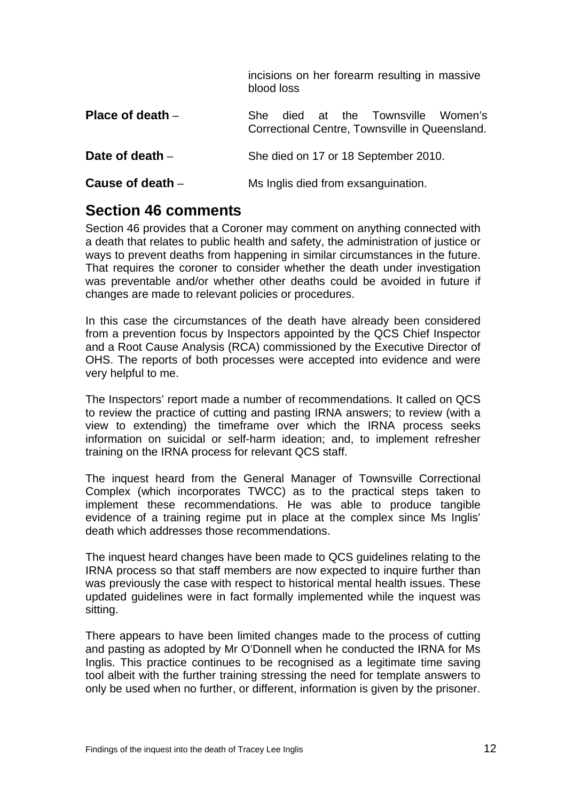<span id="page-13-0"></span>incisions on her forearm resulting in massive blood loss **Place of death** – She died at the Townsville Women's Correctional Centre, Townsville in Queensland. **Date of death** – She died on 17 or 18 September 2010. **Cause of death** – Ms Inglis died from exsanguination.

### **Section 46 comments**

Section 46 provides that a Coroner may comment on anything connected with a death that relates to public health and safety, the administration of justice or ways to prevent deaths from happening in similar circumstances in the future. That requires the coroner to consider whether the death under investigation was preventable and/or whether other deaths could be avoided in future if changes are made to relevant policies or procedures.

In this case the circumstances of the death have already been considered from a prevention focus by Inspectors appointed by the QCS Chief Inspector and a Root Cause Analysis (RCA) commissioned by the Executive Director of OHS. The reports of both processes were accepted into evidence and were very helpful to me.

The Inspectors' report made a number of recommendations. It called on QCS to review the practice of cutting and pasting IRNA answers; to review (with a view to extending) the timeframe over which the IRNA process seeks information on suicidal or self-harm ideation; and, to implement refresher training on the IRNA process for relevant QCS staff.

The inquest heard from the General Manager of Townsville Correctional Complex (which incorporates TWCC) as to the practical steps taken to implement these recommendations. He was able to produce tangible evidence of a training regime put in place at the complex since Ms Inglis' death which addresses those recommendations.

The inquest heard changes have been made to QCS guidelines relating to the IRNA process so that staff members are now expected to inquire further than was previously the case with respect to historical mental health issues. These updated guidelines were in fact formally implemented while the inquest was sitting.

There appears to have been limited changes made to the process of cutting and pasting as adopted by Mr O'Donnell when he conducted the IRNA for Ms Inglis. This practice continues to be recognised as a legitimate time saving tool albeit with the further training stressing the need for template answers to only be used when no further, or different, information is given by the prisoner.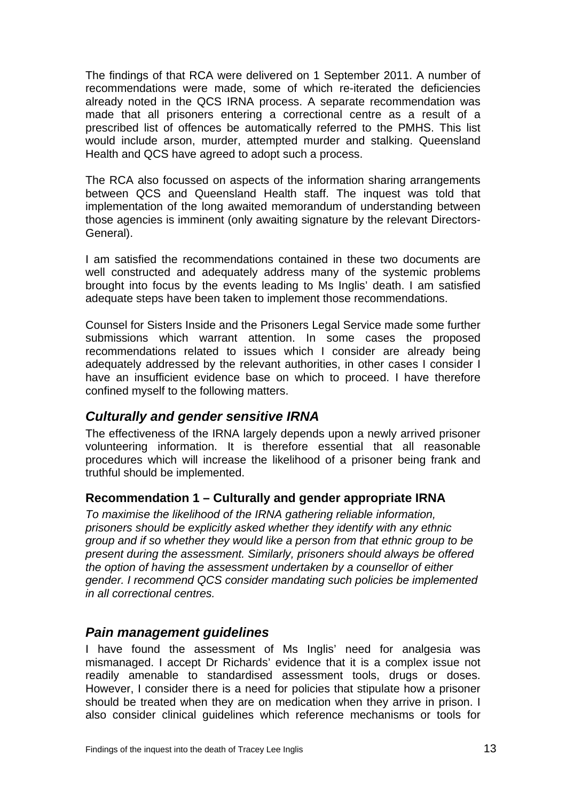<span id="page-14-0"></span>The findings of that RCA were delivered on 1 September 2011. A number of recommendations were made, some of which re-iterated the deficiencies already noted in the QCS IRNA process. A separate recommendation was made that all prisoners entering a correctional centre as a result of a prescribed list of offences be automatically referred to the PMHS. This list would include arson, murder, attempted murder and stalking. Queensland Health and QCS have agreed to adopt such a process.

The RCA also focussed on aspects of the information sharing arrangements between QCS and Queensland Health staff. The inquest was told that implementation of the long awaited memorandum of understanding between those agencies is imminent (only awaiting signature by the relevant Directors-General).

I am satisfied the recommendations contained in these two documents are well constructed and adequately address many of the systemic problems brought into focus by the events leading to Ms Inglis' death. I am satisfied adequate steps have been taken to implement those recommendations.

Counsel for Sisters Inside and the Prisoners Legal Service made some further submissions which warrant attention. In some cases the proposed recommendations related to issues which I consider are already being adequately addressed by the relevant authorities, in other cases I consider I have an insufficient evidence base on which to proceed. I have therefore confined myself to the following matters.

#### *Culturally and gender sensitive IRNA*

The effectiveness of the IRNA largely depends upon a newly arrived prisoner volunteering information. It is therefore essential that all reasonable procedures which will increase the likelihood of a prisoner being frank and truthful should be implemented.

#### **Recommendation 1 – Culturally and gender appropriate IRNA**

*To maximise the likelihood of the IRNA gathering reliable information, prisoners should be explicitly asked whether they identify with any ethnic group and if so whether they would like a person from that ethnic group to be present during the assessment. Similarly, prisoners should always be offered the option of having the assessment undertaken by a counsellor of either gender. I recommend QCS consider mandating such policies be implemented in all correctional centres.* 

#### *Pain management guidelines*

I have found the assessment of Ms Inglis' need for analgesia was mismanaged. I accept Dr Richards' evidence that it is a complex issue not readily amenable to standardised assessment tools, drugs or doses. However, I consider there is a need for policies that stipulate how a prisoner should be treated when they are on medication when they arrive in prison. I also consider clinical guidelines which reference mechanisms or tools for